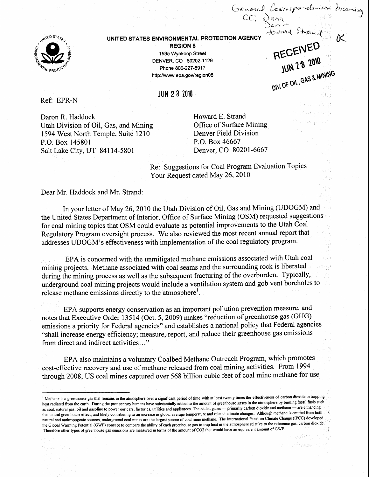

## UNITED STATES ENVIRONMENTAL PROTECTION AGENCY

REGION 8 1595 Wynkoop Street DENVER, CO 80202-1129 Phone 800-227-8917 http://www.epa.gov/region08

JUN 23 ?010

Ref: EPR-N

Daron R. Haddock Utah Division of Oil, Gas, and Mining 1594 West North Temple, Suite 1210 P.O. Box 145801 Salt Lake ciry, uT 84114-5801

Howard E. Strand Office of Surface Mining Denver Field Division P.O. Box 46667 Denver, CO 8020l-6667

rrespondent locrespondent

Howard Strand

JUN 28 2010

 $8$  MINING

 $D/N$ ; Or  $O(N)$ 

Signation of A

RECEIVED

moning -.J

Re: Suggestions for Coal Program Evaluation Topics Your Request dated May 26, 2010

Dear Mr. Haddock and Mr. Strand:

In your letter of May 26,2010 the Utah Division of Oil, Gas and Mining (UDOGM) and the United States Department of Interior, Office of Surface Mining (OSM) requested suggestions for coal mining topics that OSM could evaluate as potential improvements to the Utah Coal Regulatory Program oversight process. We also reviewed the most recent annual report that addresses UDOGM's effectiveness with implementation of the coal regulatory program.

EPA is concerned with the unmitigated methane emissions associated with Utah coal mining projects. Methane associated with coal seams and the surrounding rock is liberated during the mining process as well as the subsequent fracturing of the overburden. Typically, underground coal mining projects would include a ventilation system and gob vent boreholes to release methane emissions directly to the atmosphere<sup>1</sup>.

EPA supports energy conservation as an important pollution prevention measure, and notes that Executive Order 13514 (Oct. 5,2009) makes "reduction of greenhouse gas (GHG) emissions a priority for Federal agencies" and establishes a national policy that Federal agencies "shall increase energy efficiency; measure, report, and reduce their greenhouse gas emissions from direct and indirect activities. . . "

EPA also maintains a voluntary Coalbed Methane Outreach Program, which promotes cost-effective recovery and use of methane released from coal mining activities. From 1994 through 2008, US coal mines captured over 568 billion cubic feet of coal mine methane for use

<sup>&</sup>lt;sup>1</sup> Methane is a greenhouse gas that remains in the atmosphere over a significant period of time with at least twenty times the effectiveness of carbon dioxide in trapping heat radiated from the earth. During the past century humans have substantially added to the amount of greenhouse gases in the atmosphere by buming fossil fuels such as coal, natural gas, oil and gasoline to power our cars, factories, utilities and appliances. The added gases -- primarily carbon dioxide and methane -- are enhancing the natural greenhouse effect, and likely contributing to an increase in global average temperature and related climate changes. Although methane is emitted from both natural and anthropogenic sources, underground coal mines are the largest source of coal mine methane. The International Panel on Climate Change (IPCC) developed the Global Warming Potential (GWP) concept to compare the ability of each greenhouse gas to trap heat in the atmosphere relative to the reference gas, carbon dioxide. Therefore other types of greenhouse gas emissions are measured in terms of the amount of CO2 that would have an equivalent amount of GWP.